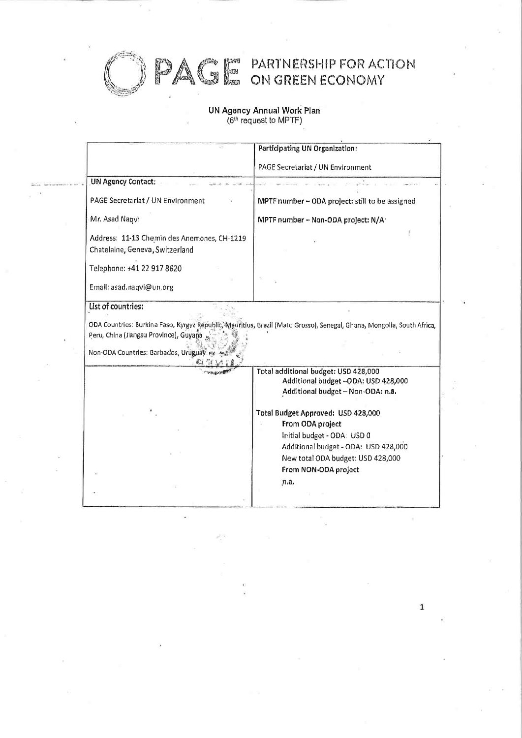# PARTNERSHIP FOR ACTION<br>ON GREEN ECONOMY

 $\mathbf 1$ 

# UN Agency Annual Work Plan<br>(6<sup>th</sup> request to MPTF)

 $PA$ 

|                                              | Participating UN Organization:                                                                                         |
|----------------------------------------------|------------------------------------------------------------------------------------------------------------------------|
|                                              | PAGE Secretariat / UN Environment                                                                                      |
| <b>UN Agency Contact:</b>                    |                                                                                                                        |
| PAGE Secretariat / UN Environment            | MPTF number - ODA project: still to be assigned                                                                        |
| Mr. Asad Naqvi                               | MPTF number - Non-ODA project: N/A·                                                                                    |
| Address: 11-13 Chemin des Anemones, CH-1219  |                                                                                                                        |
| Chatelaine, Geneva, Switzerland              |                                                                                                                        |
| Telephone: +41 22 917 8620                   |                                                                                                                        |
| Email: asad.naqvi@un.org                     |                                                                                                                        |
|                                              |                                                                                                                        |
| List of countries:                           |                                                                                                                        |
|                                              |                                                                                                                        |
| Peru, China (Jiangsu Province), Guyana       |                                                                                                                        |
| Non-ODA Countries: Barbados, Uruguay Mal Ang | ODA Countries: Burkina Faso, Kyrgyz Republic, Mauritius, Brazil (Mato Grosso), Senegal, Ghana, Mongolia, South Africa, |
|                                              | Total additional budget: USD 428,000                                                                                   |
|                                              | Additional budget-ODA: USD 428,000                                                                                     |
|                                              | Additional budget - Non-ODA: n.a.                                                                                      |
|                                              | Total Budget Approved: USD 428,000                                                                                     |
|                                              | From ODA project                                                                                                       |
|                                              | Initial budget - ODA: USD 0<br>Additional budget - ODA: USD 428,000                                                    |
|                                              | New total ODA budget: USD 428,000                                                                                      |
|                                              | From NON-ODA project                                                                                                   |
|                                              | n.a.                                                                                                                   |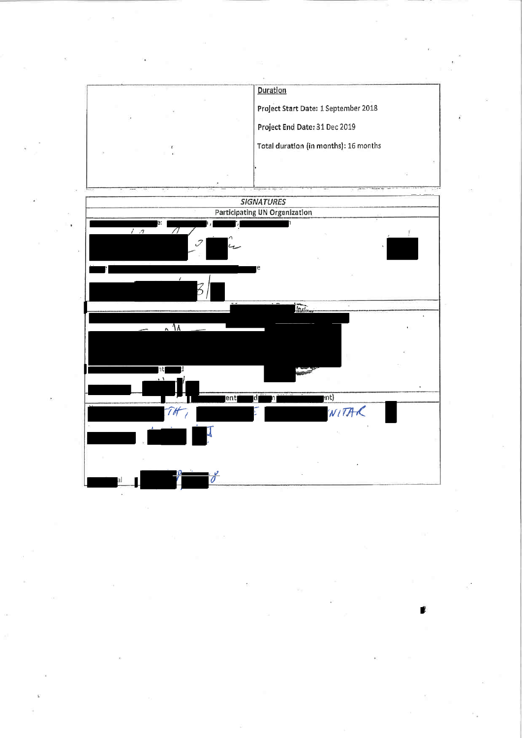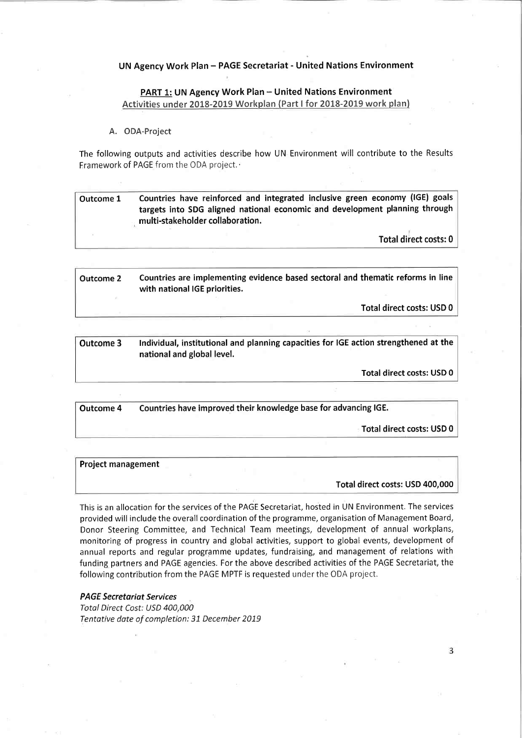# UN Agency Work Plan - PAGE Secretariat - United Nations Environment

## PART 1: UN Agency Work Plan - United Nations Environment Activities under 2018-2019 Workplan (Part I for 2018-2019 work plan)

### A. ODA-Project

The following outputs and activities describe how UN Environment will contribute to the Results Framework of PAGE from the ODA project.

Outcome I Countries have reinforced and integrated inclusive green economy (IGE) goals targets into SDG aligned national economic and development planning through multi-stakeholder collaboration.

Total direct costs: 0

Outcome 2 Countries are implementing evidence based sectoral and thematic reforms in line with national IGE priorities.

Total direct costs: USD 0

Outcome 3 Individual, institutional and planning capacities for IGE action strengthened at the national and global level.

Total direct costs: USD 0

Countries have improved their knowledge base for advancing IGE. Outcome 4

TOtal direct costs: USD 0

Project management

#### Total direct costs: USD 400,000

This is an allocation for the services of the PAGE Secretariat, hosted in UN Environment. The services provided will include the overall coordination of the programme, organisation of Management Board, Donor Steering Committee, and Technical Team meetings, development of annual workplans, monitoring of progress in country and global activities, support to global events, development of annual reports and regular programme updates, fundraising, and management of relations with funding partners and PAGE agencies. For the above described activities of the PAGE Secretariat, the following contribution from the PAGE MPTF is requested under the ODA project.

### PAGE Secretariat Services

Total Direct Cost: USD 400,000 Tentative date of completion: 31 December 2019

3